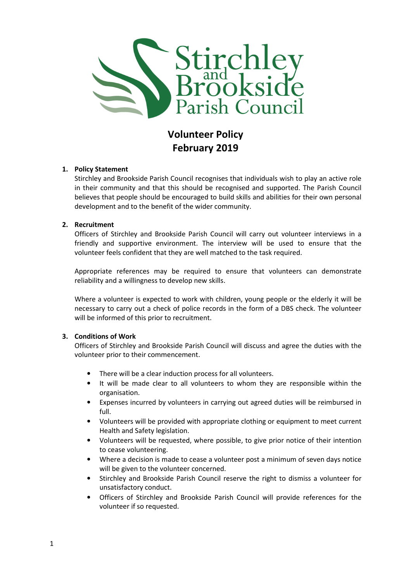

# Volunteer Policy February 2019

## 1. Policy Statement

Stirchley and Brookside Parish Council recognises that individuals wish to play an active role in their community and that this should be recognised and supported. The Parish Council believes that people should be encouraged to build skills and abilities for their own personal development and to the benefit of the wider community.

## 2. Recruitment

Officers of Stirchley and Brookside Parish Council will carry out volunteer interviews in a friendly and supportive environment. The interview will be used to ensure that the volunteer feels confident that they are well matched to the task required.

Appropriate references may be required to ensure that volunteers can demonstrate reliability and a willingness to develop new skills.

Where a volunteer is expected to work with children, young people or the elderly it will be necessary to carry out a check of police records in the form of a DBS check. The volunteer will be informed of this prior to recruitment.

#### 3. Conditions of Work

Officers of Stirchley and Brookside Parish Council will discuss and agree the duties with the volunteer prior to their commencement.

- There will be a clear induction process for all volunteers.
- It will be made clear to all volunteers to whom they are responsible within the organisation.
- Expenses incurred by volunteers in carrying out agreed duties will be reimbursed in full.
- Volunteers will be provided with appropriate clothing or equipment to meet current Health and Safety legislation.
- Volunteers will be requested, where possible, to give prior notice of their intention to cease volunteering.
- Where a decision is made to cease a volunteer post a minimum of seven days notice will be given to the volunteer concerned.
- Stirchley and Brookside Parish Council reserve the right to dismiss a volunteer for unsatisfactory conduct.
- Officers of Stirchley and Brookside Parish Council will provide references for the volunteer if so requested.